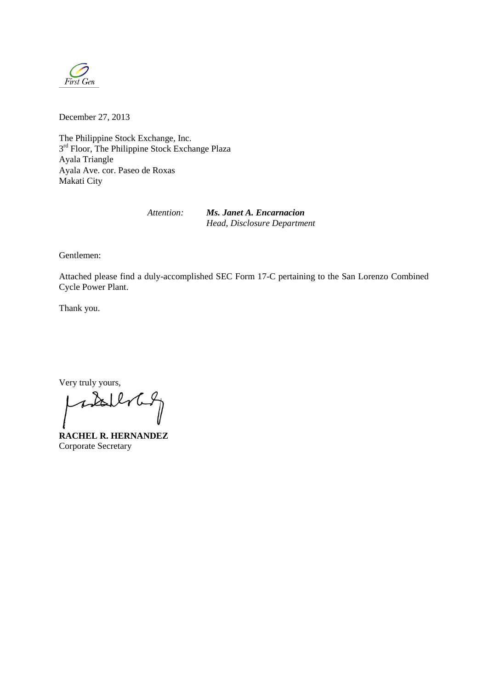

December 27, 2013

The Philippine Stock Exchange, Inc. 3<sup>rd</sup> Floor, The Philippine Stock Exchange Plaza Ayala Triangle Ayala Ave. cor. Paseo de Roxas Makati City

*Attention: Ms. Janet A. Encarnacion Head, Disclosure Department*

Gentlemen:

Attached please find a duly-accomplished SEC Form 17-C pertaining to the San Lorenzo Combined Cycle Power Plant.

Thank you.

Very truly yours,

wall

**RACHEL R. HERNANDEZ**  Corporate Secretary